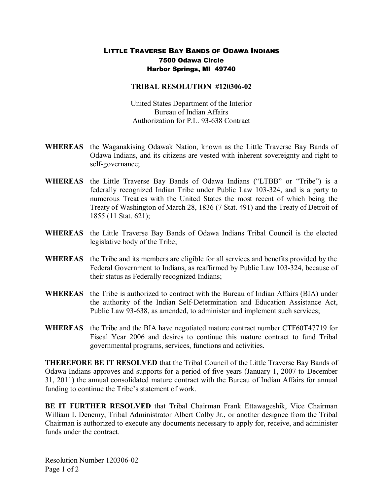## LITTLE TRAVERSE BAY BANDS OF ODAWA INDIANS 7500 Odawa Circle Harbor Springs, MI 49740

## **TRIBAL RESOLUTION #120306-02**

United States Department of the Interior Bureau of Indian Affairs Authorization for P.L. 93-638 Contract

- **WHEREAS** the Waganakising Odawak Nation, known as the Little Traverse Bay Bands of Odawa Indians, and its citizens are vested with inherent sovereignty and right to self-governance;
- **WHEREAS** the Little Traverse Bay Bands of Odawa Indians ("LTBB" or "Tribe") is a federally recognized Indian Tribe under Public Law 103-324, and is a party to numerous Treaties with the United States the most recent of which being the Treaty of Washington of March 28, 1836 (7 Stat. 491) and the Treaty of Detroit of 1855 (11 Stat. 621);
- **WHEREAS** the Little Traverse Bay Bands of Odawa Indians Tribal Council is the elected legislative body of the Tribe;
- **WHEREAS** the Tribe and its members are eligible for all services and benefits provided by the Federal Government to Indians, as reaffirmed by Public Law 103-324, because of their status as Federally recognized Indians;
- **WHEREAS** the Tribe is authorized to contract with the Bureau of Indian Affairs (BIA) under the authority of the Indian Self-Determination and Education Assistance Act, Public Law 93-638, as amended, to administer and implement such services;
- **WHEREAS** the Tribe and the BIA have negotiated mature contract number CTF60T47719 for Fiscal Year 2006 and desires to continue this mature contract to fund Tribal governmental programs, services, functions and activities.

**THEREFORE BE IT RESOLVED** that the Tribal Council of the Little Traverse Bay Bands of Odawa Indians approves and supports for a period of five years (January 1, 2007 to December 31, 2011) the annual consolidated mature contract with the Bureau of Indian Affairs for annual funding to continue the Tribe's statement of work.

**BE IT FURTHER RESOLVED** that Tribal Chairman Frank Ettawageshik, Vice Chairman William I. Denemy, Tribal Administrator Albert Colby Jr., or another designee from the Tribal Chairman is authorized to execute any documents necessary to apply for, receive, and administer funds under the contract.

Resolution Number 120306-02 Page 1 of 2